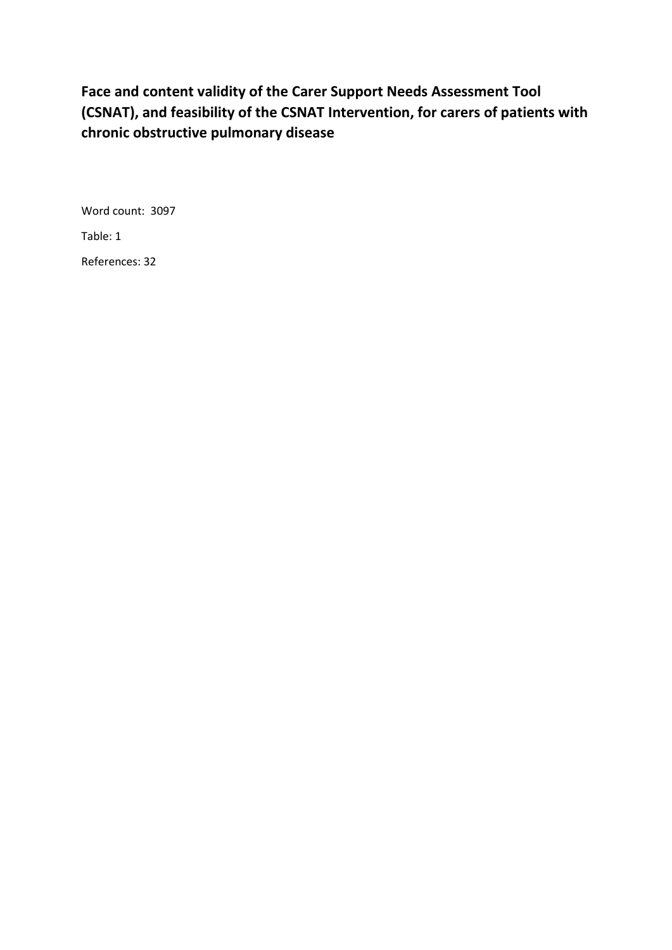# **Face and content validity of the Carer Support Needs Assessment Tool (CSNAT), and feasibility of the CSNAT Intervention, for carers of patients with chronic obstructive pulmonary disease**

Word count: 3097 Table: 1

References: 32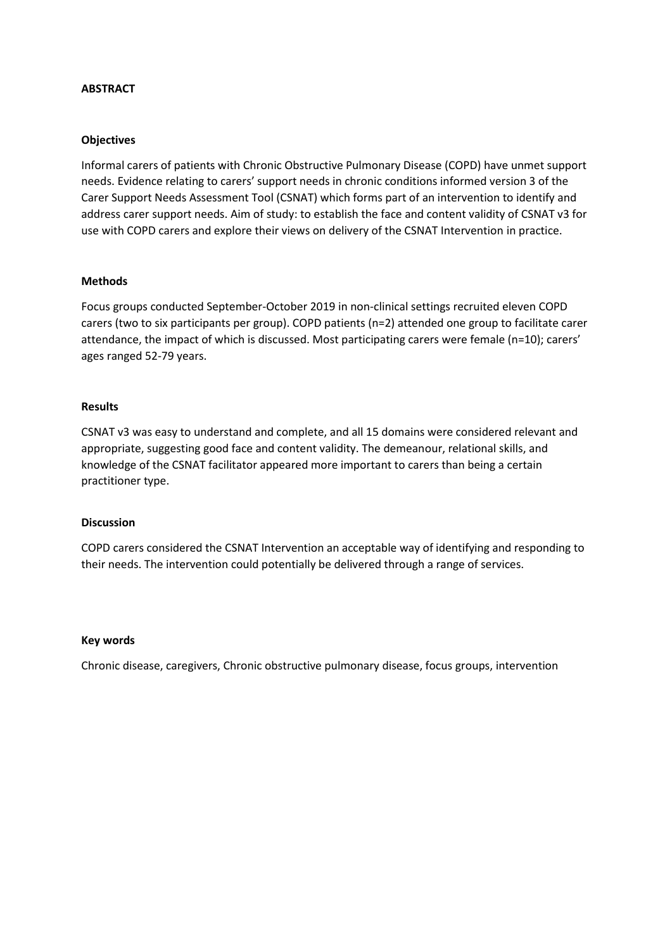## **ABSTRACT**

#### **Objectives**

Informal carers of patients with Chronic Obstructive Pulmonary Disease (COPD) have unmet support needs. Evidence relating to carers' support needs in chronic conditions informed version 3 of the Carer Support Needs Assessment Tool (CSNAT) which forms part of an intervention to identify and address carer support needs. Aim of study: to establish the face and content validity of CSNAT v3 for use with COPD carers and explore their views on delivery of the CSNAT Intervention in practice.

#### **Methods**

Focus groups conducted September-October 2019 in non-clinical settings recruited eleven COPD carers (two to six participants per group). COPD patients (n=2) attended one group to facilitate carer attendance, the impact of which is discussed. Most participating carers were female (n=10); carers' ages ranged 52-79 years.

## **Results**

CSNAT v3 was easy to understand and complete, and all 15 domains were considered relevant and appropriate, suggesting good face and content validity. The demeanour, relational skills, and knowledge of the CSNAT facilitator appeared more important to carers than being a certain practitioner type.

#### **Discussion**

COPD carers considered the CSNAT Intervention an acceptable way of identifying and responding to their needs. The intervention could potentially be delivered through a range of services.

#### **Key words**

Chronic disease, caregivers, Chronic obstructive pulmonary disease, focus groups, intervention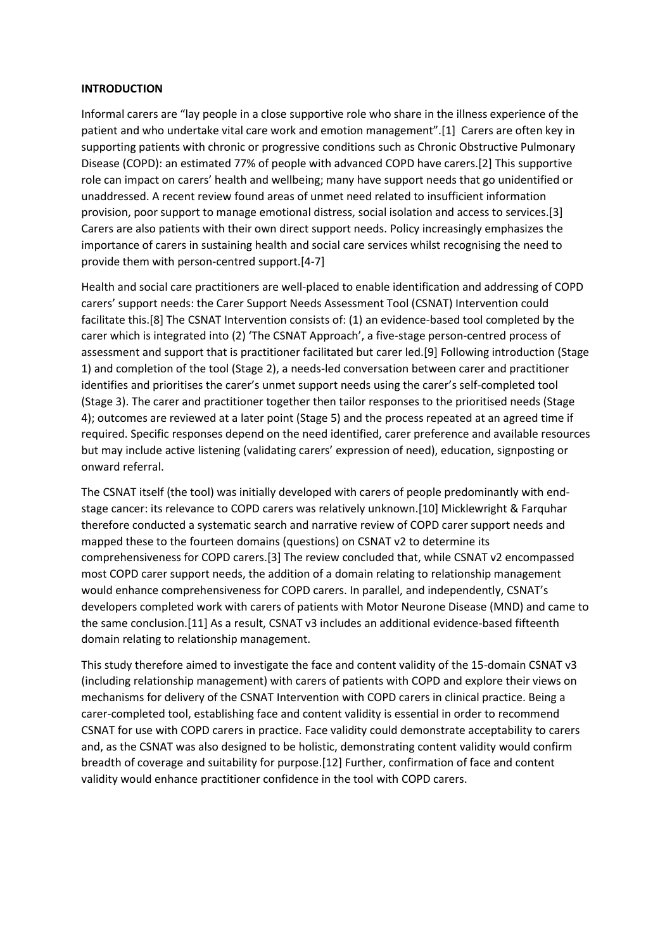## **INTRODUCTION**

Informal carers are "lay people in a close supportive role who share in the illness experience of the patient and who undertake vital care work and emotion management".[1] Carers are often key in supporting patients with chronic or progressive conditions such as Chronic Obstructive Pulmonary Disease (COPD): an estimated 77% of people with advanced COPD have carers.[2] This supportive role can impact on carers' health and wellbeing; many have support needs that go unidentified or unaddressed. A recent review found areas of unmet need related to insufficient information provision, poor support to manage emotional distress, social isolation and access to services.[3] Carers are also patients with their own direct support needs. Policy increasingly emphasizes the importance of carers in sustaining health and social care services whilst recognising the need to provide them with person-centred support.[4-7]

Health and social care practitioners are well-placed to enable identification and addressing of COPD carers' support needs: the Carer Support Needs Assessment Tool (CSNAT) Intervention could facilitate this.[8] The CSNAT Intervention consists of: (1) an evidence-based tool completed by the carer which is integrated into (2) 'The CSNAT Approach', a five-stage person-centred process of assessment and support that is practitioner facilitated but carer led.[9] Following introduction (Stage 1) and completion of the tool (Stage 2), a needs-led conversation between carer and practitioner identifies and prioritises the carer's unmet support needs using the carer's self-completed tool (Stage 3). The carer and practitioner together then tailor responses to the prioritised needs (Stage 4); outcomes are reviewed at a later point (Stage 5) and the process repeated at an agreed time if required. Specific responses depend on the need identified, carer preference and available resources but may include active listening (validating carers' expression of need), education, signposting or onward referral.

The CSNAT itself (the tool) was initially developed with carers of people predominantly with endstage cancer: its relevance to COPD carers was relatively unknown.[10] Micklewright & Farquhar therefore conducted a systematic search and narrative review of COPD carer support needs and mapped these to the fourteen domains (questions) on CSNAT v2 to determine its comprehensiveness for COPD carers.[3] The review concluded that, while CSNAT v2 encompassed most COPD carer support needs, the addition of a domain relating to relationship management would enhance comprehensiveness for COPD carers. In parallel, and independently, CSNAT's developers completed work with carers of patients with Motor Neurone Disease (MND) and came to the same conclusion.[11] As a result, CSNAT v3 includes an additional evidence-based fifteenth domain relating to relationship management.

This study therefore aimed to investigate the face and content validity of the 15-domain CSNAT v3 (including relationship management) with carers of patients with COPD and explore their views on mechanisms for delivery of the CSNAT Intervention with COPD carers in clinical practice. Being a carer-completed tool, establishing face and content validity is essential in order to recommend CSNAT for use with COPD carers in practice. Face validity could demonstrate acceptability to carers and, as the CSNAT was also designed to be holistic, demonstrating content validity would confirm breadth of coverage and suitability for purpose.[12] Further, confirmation of face and content validity would enhance practitioner confidence in the tool with COPD carers.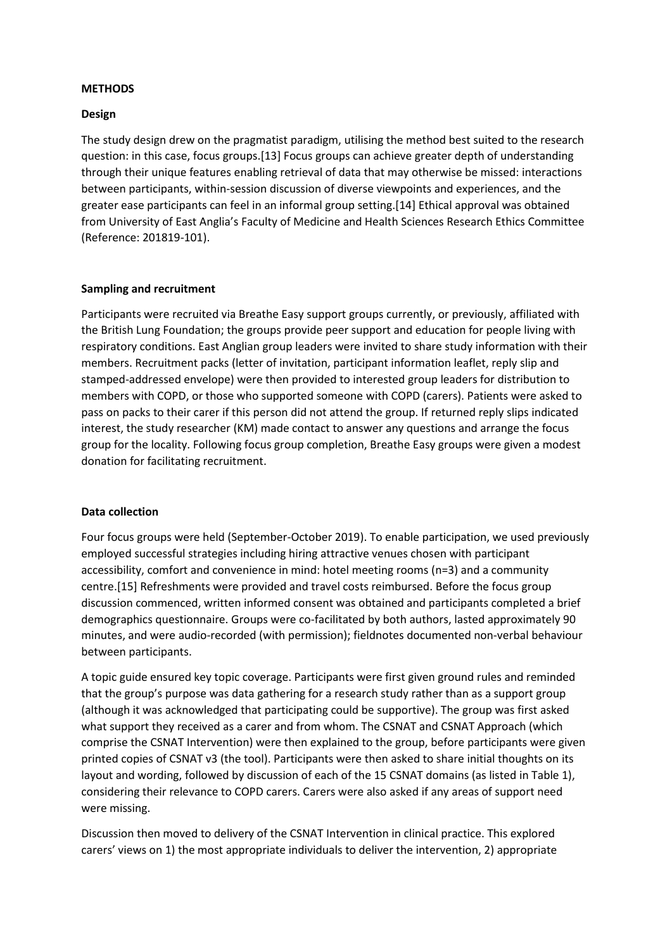# **METHODS**

## **Design**

The study design drew on the pragmatist paradigm, utilising the method best suited to the research question: in this case, focus groups.[13] Focus groups can achieve greater depth of understanding through their unique features enabling retrieval of data that may otherwise be missed: interactions between participants, within-session discussion of diverse viewpoints and experiences, and the greater ease participants can feel in an informal group setting.[14] Ethical approval was obtained from University of East Anglia's Faculty of Medicine and Health Sciences Research Ethics Committee (Reference: 201819-101).

#### **Sampling and recruitment**

Participants were recruited via Breathe Easy support groups currently, or previously, affiliated with the British Lung Foundation; the groups provide peer support and education for people living with respiratory conditions. East Anglian group leaders were invited to share study information with their members. Recruitment packs (letter of invitation, participant information leaflet, reply slip and stamped-addressed envelope) were then provided to interested group leaders for distribution to members with COPD, or those who supported someone with COPD (carers). Patients were asked to pass on packs to their carer if this person did not attend the group. If returned reply slips indicated interest, the study researcher (KM) made contact to answer any questions and arrange the focus group for the locality. Following focus group completion, Breathe Easy groups were given a modest donation for facilitating recruitment.

## **Data collection**

Four focus groups were held (September-October 2019). To enable participation, we used previously employed successful strategies including hiring attractive venues chosen with participant accessibility, comfort and convenience in mind: hotel meeting rooms (n=3) and a community centre.[15] Refreshments were provided and travel costs reimbursed. Before the focus group discussion commenced, written informed consent was obtained and participants completed a brief demographics questionnaire. Groups were co-facilitated by both authors, lasted approximately 90 minutes, and were audio-recorded (with permission); fieldnotes documented non-verbal behaviour between participants.

A topic guide ensured key topic coverage. Participants were first given ground rules and reminded that the group's purpose was data gathering for a research study rather than as a support group (although it was acknowledged that participating could be supportive). The group was first asked what support they received as a carer and from whom. The CSNAT and CSNAT Approach (which comprise the CSNAT Intervention) were then explained to the group, before participants were given printed copies of CSNAT v3 (the tool). Participants were then asked to share initial thoughts on its layout and wording, followed by discussion of each of the 15 CSNAT domains (as listed in Table 1), considering their relevance to COPD carers. Carers were also asked if any areas of support need were missing.

Discussion then moved to delivery of the CSNAT Intervention in clinical practice. This explored carers' views on 1) the most appropriate individuals to deliver the intervention, 2) appropriate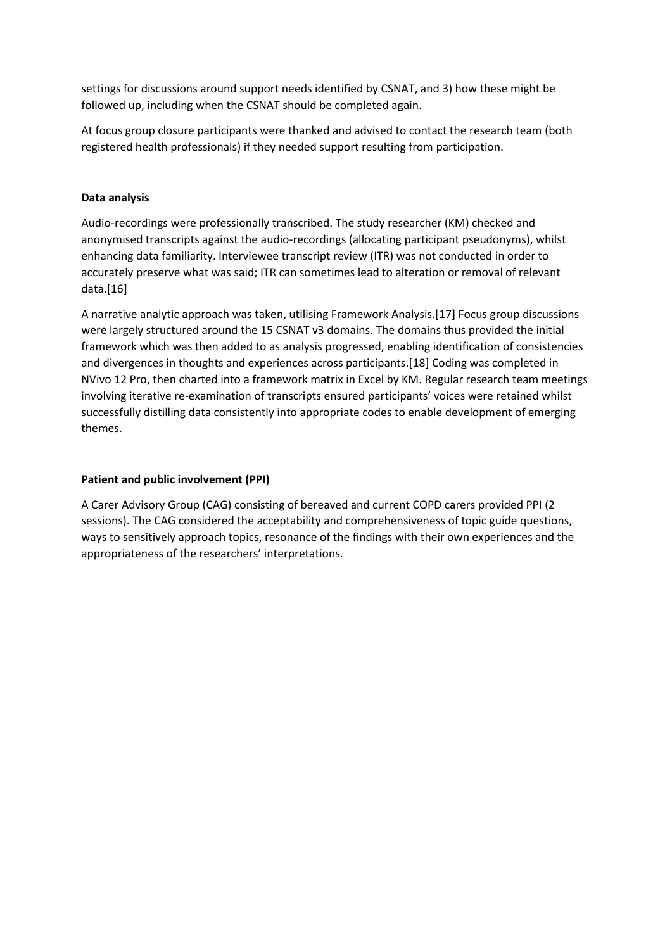settings for discussions around support needs identified by CSNAT, and 3) how these might be followed up, including when the CSNAT should be completed again.

At focus group closure participants were thanked and advised to contact the research team (both registered health professionals) if they needed support resulting from participation.

# **Data analysis**

Audio-recordings were professionally transcribed. The study researcher (KM) checked and anonymised transcripts against the audio-recordings (allocating participant pseudonyms), whilst enhancing data familiarity. Interviewee transcript review (ITR) was not conducted in order to accurately preserve what was said; ITR can sometimes lead to alteration or removal of relevant data.[16]

A narrative analytic approach was taken, utilising Framework Analysis.[17] Focus group discussions were largely structured around the 15 CSNAT v3 domains. The domains thus provided the initial framework which was then added to as analysis progressed, enabling identification of consistencies and divergences in thoughts and experiences across participants.[18] Coding was completed in NVivo 12 Pro, then charted into a framework matrix in Excel by KM. Regular research team meetings involving iterative re-examination of transcripts ensured participants' voices were retained whilst successfully distilling data consistently into appropriate codes to enable development of emerging themes.

# **Patient and public involvement (PPI)**

A Carer Advisory Group (CAG) consisting of bereaved and current COPD carers provided PPI (2 sessions). The CAG considered the acceptability and comprehensiveness of topic guide questions, ways to sensitively approach topics, resonance of the findings with their own experiences and the appropriateness of the researchers' interpretations.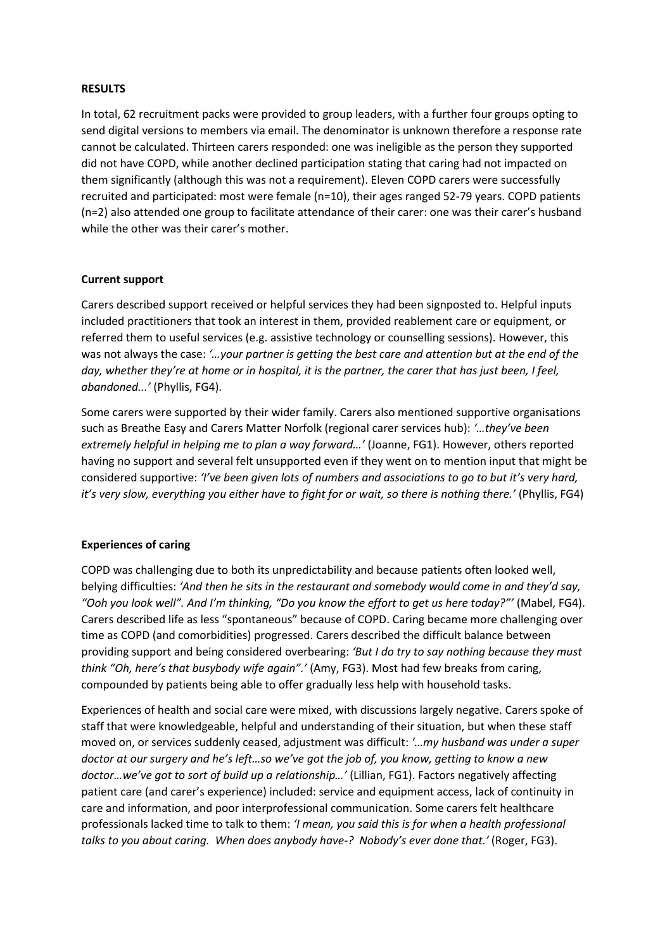## **RESULTS**

In total, 62 recruitment packs were provided to group leaders, with a further four groups opting to send digital versions to members via email. The denominator is unknown therefore a response rate cannot be calculated. Thirteen carers responded: one was ineligible as the person they supported did not have COPD, while another declined participation stating that caring had not impacted on them significantly (although this was not a requirement). Eleven COPD carers were successfully recruited and participated: most were female (n=10), their ages ranged 52-79 years. COPD patients (n=2) also attended one group to facilitate attendance of their carer: one was their carer's husband while the other was their carer's mother.

## **Current support**

Carers described support received or helpful services they had been signposted to. Helpful inputs included practitioners that took an interest in them, provided reablement care or equipment, or referred them to useful services (e.g. assistive technology or counselling sessions). However, this was not always the case: *'…your partner is getting the best care and attention but at the end of the day, whether they're at home or in hospital, it is the partner, the carer that has just been, I feel, abandoned...'* (Phyllis, FG4).

Some carers were supported by their wider family. Carers also mentioned supportive organisations such as Breathe Easy and Carers Matter Norfolk (regional carer services hub): *'…they've been extremely helpful in helping me to plan a way forward…'* (Joanne, FG1). However, others reported having no support and several felt unsupported even if they went on to mention input that might be considered supportive: *'I've been given lots of numbers and associations to go to but it's very hard, it's very slow, everything you either have to fight for or wait, so there is nothing there.'* (Phyllis, FG4)

# **Experiences of caring**

COPD was challenging due to both its unpredictability and because patients often looked well, belying difficulties: *'And then he sits in the restaurant and somebody would come in and they'd say, "Ooh you look well". And I'm thinking, "Do you know the effort to get us here today?"'* (Mabel, FG4). Carers described life as less "spontaneous" because of COPD. Caring became more challenging over time as COPD (and comorbidities) progressed. Carers described the difficult balance between providing support and being considered overbearing: *'But I do try to say nothing because they must think "Oh, here's that busybody wife again".'* (Amy, FG3). Most had few breaks from caring, compounded by patients being able to offer gradually less help with household tasks.

Experiences of health and social care were mixed, with discussions largely negative. Carers spoke of staff that were knowledgeable, helpful and understanding of their situation, but when these staff moved on, or services suddenly ceased, adjustment was difficult: *'…my husband was under a super doctor at our surgery and he's left…so we've got the job of, you know, getting to know a new doctor…we've got to sort of build up a relationship…'* (Lillian, FG1). Factors negatively affecting patient care (and carer's experience) included: service and equipment access, lack of continuity in care and information, and poor interprofessional communication. Some carers felt healthcare professionals lacked time to talk to them: *'I mean, you said this is for when a health professional talks to you about caring. When does anybody have-? Nobody's ever done that.'* (Roger, FG3).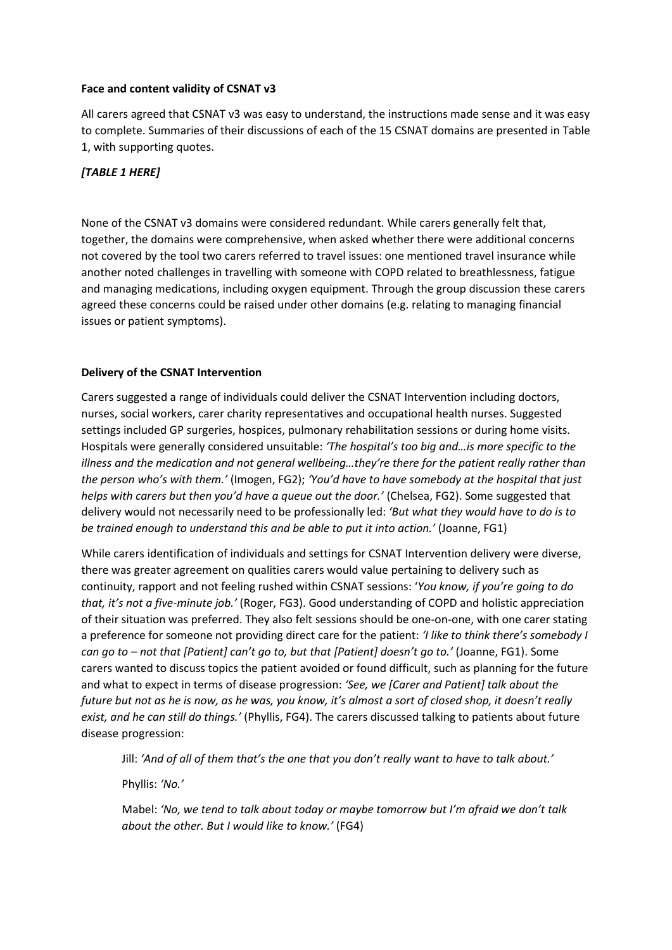# **Face and content validity of CSNAT v3**

All carers agreed that CSNAT v3 was easy to understand, the instructions made sense and it was easy to complete. Summaries of their discussions of each of the 15 CSNAT domains are presented in Table 1, with supporting quotes.

# *[TABLE 1 HERE]*

None of the CSNAT v3 domains were considered redundant. While carers generally felt that, together, the domains were comprehensive, when asked whether there were additional concerns not covered by the tool two carers referred to travel issues: one mentioned travel insurance while another noted challenges in travelling with someone with COPD related to breathlessness, fatigue and managing medications, including oxygen equipment. Through the group discussion these carers agreed these concerns could be raised under other domains (e.g. relating to managing financial issues or patient symptoms).

# **Delivery of the CSNAT Intervention**

Carers suggested a range of individuals could deliver the CSNAT Intervention including doctors, nurses, social workers, carer charity representatives and occupational health nurses. Suggested settings included GP surgeries, hospices, pulmonary rehabilitation sessions or during home visits. Hospitals were generally considered unsuitable: *'The hospital's too big and…is more specific to the illness and the medication and not general wellbeing…they're there for the patient really rather than the person who's with them.'* (Imogen, FG2); *'You'd have to have somebody at the hospital that just helps with carers but then you'd have a queue out the door.'* (Chelsea, FG2). Some suggested that delivery would not necessarily need to be professionally led: *'But what they would have to do is to be trained enough to understand this and be able to put it into action.'* (Joanne, FG1)

While carers identification of individuals and settings for CSNAT Intervention delivery were diverse, there was greater agreement on qualities carers would value pertaining to delivery such as continuity, rapport and not feeling rushed within CSNAT sessions: '*You know, if you're going to do that, it's not a five-minute job.'* (Roger, FG3). Good understanding of COPD and holistic appreciation of their situation was preferred. They also felt sessions should be one-on-one, with one carer stating a preference for someone not providing direct care for the patient: *'I like to think there's somebody I can go to – not that [Patient] can't go to, but that [Patient] doesn't go to.'* (Joanne, FG1). Some carers wanted to discuss topics the patient avoided or found difficult, such as planning for the future and what to expect in terms of disease progression: *'See, we [Carer and Patient] talk about the future but not as he is now, as he was, you know, it's almost a sort of closed shop, it doesn't really exist, and he can still do things.'* (Phyllis, FG4). The carers discussed talking to patients about future disease progression:

Jill: *'And of all of them that's the one that you don't really want to have to talk about.'*

Phyllis: *'No.'*

Mabel: *'No, we tend to talk about today or maybe tomorrow but I'm afraid we don't talk about the other. But I would like to know.'* (FG4)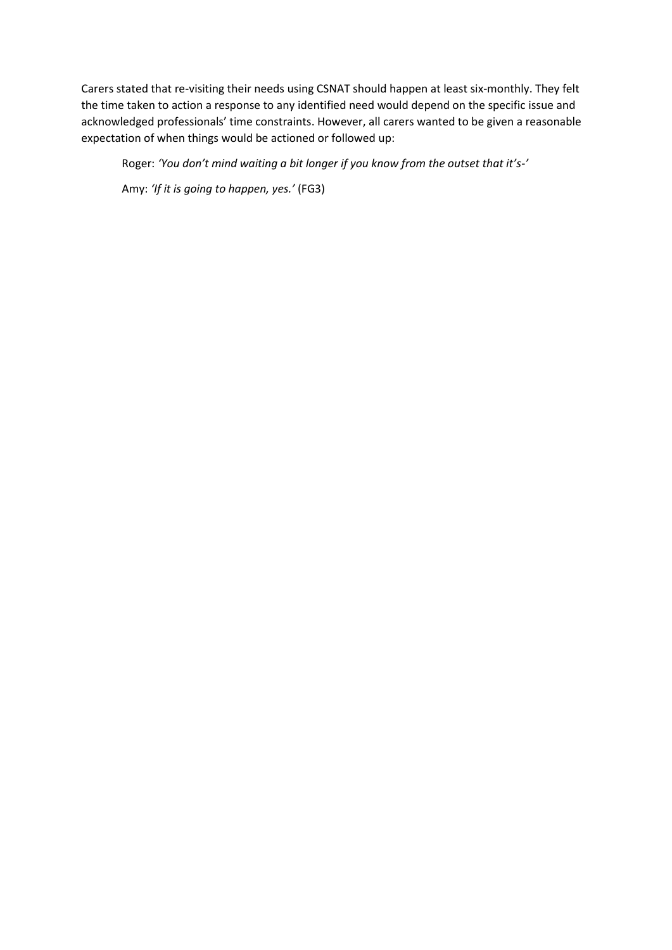Carers stated that re-visiting their needs using CSNAT should happen at least six-monthly. They felt the time taken to action a response to any identified need would depend on the specific issue and acknowledged professionals' time constraints. However, all carers wanted to be given a reasonable expectation of when things would be actioned or followed up:

Roger: *'You don't mind waiting a bit longer if you know from the outset that it's-'*

Amy: *'If it is going to happen, yes.'* (FG3)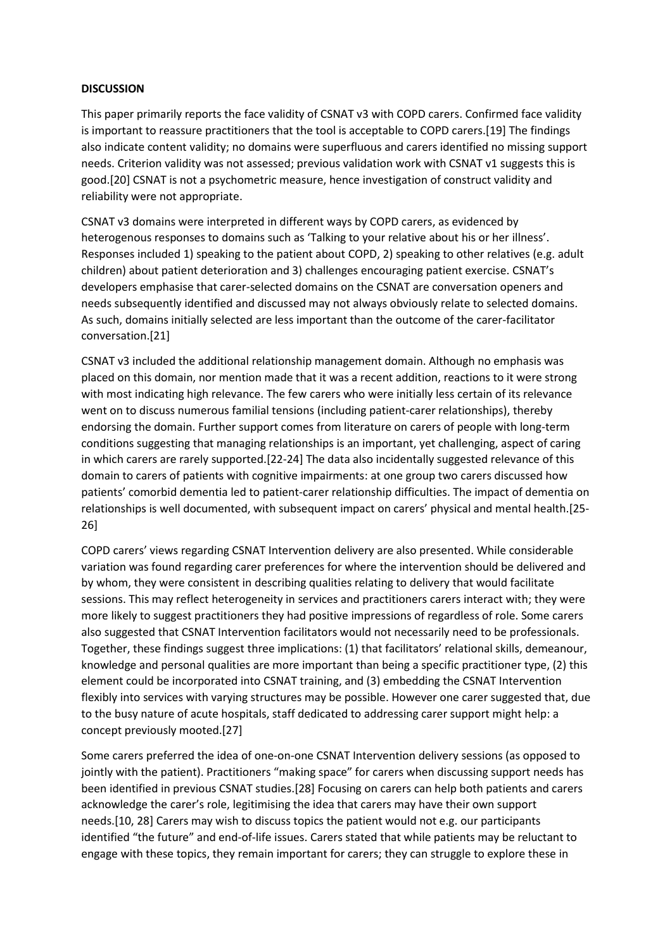## **DISCUSSION**

This paper primarily reports the face validity of CSNAT v3 with COPD carers. Confirmed face validity is important to reassure practitioners that the tool is acceptable to COPD carers.[19] The findings also indicate content validity; no domains were superfluous and carers identified no missing support needs. Criterion validity was not assessed; previous validation work with CSNAT v1 suggests this is good.[20] CSNAT is not a psychometric measure, hence investigation of construct validity and reliability were not appropriate.

CSNAT v3 domains were interpreted in different ways by COPD carers, as evidenced by heterogenous responses to domains such as 'Talking to your relative about his or her illness'. Responses included 1) speaking to the patient about COPD, 2) speaking to other relatives (e.g. adult children) about patient deterioration and 3) challenges encouraging patient exercise. CSNAT's developers emphasise that carer-selected domains on the CSNAT are conversation openers and needs subsequently identified and discussed may not always obviously relate to selected domains. As such, domains initially selected are less important than the outcome of the carer-facilitator conversation.[21]

CSNAT v3 included the additional relationship management domain. Although no emphasis was placed on this domain, nor mention made that it was a recent addition, reactions to it were strong with most indicating high relevance. The few carers who were initially less certain of its relevance went on to discuss numerous familial tensions (including patient-carer relationships), thereby endorsing the domain. Further support comes from literature on carers of people with long-term conditions suggesting that managing relationships is an important, yet challenging, aspect of caring in which carers are rarely supported.[22-24] The data also incidentally suggested relevance of this domain to carers of patients with cognitive impairments: at one group two carers discussed how patients' comorbid dementia led to patient-carer relationship difficulties. The impact of dementia on relationships is well documented, with subsequent impact on carers' physical and mental health.[25- 26]

COPD carers' views regarding CSNAT Intervention delivery are also presented. While considerable variation was found regarding carer preferences for where the intervention should be delivered and by whom, they were consistent in describing qualities relating to delivery that would facilitate sessions. This may reflect heterogeneity in services and practitioners carers interact with; they were more likely to suggest practitioners they had positive impressions of regardless of role. Some carers also suggested that CSNAT Intervention facilitators would not necessarily need to be professionals. Together, these findings suggest three implications: (1) that facilitators' relational skills, demeanour, knowledge and personal qualities are more important than being a specific practitioner type, (2) this element could be incorporated into CSNAT training, and (3) embedding the CSNAT Intervention flexibly into services with varying structures may be possible. However one carer suggested that, due to the busy nature of acute hospitals, staff dedicated to addressing carer support might help: a concept previously mooted.[27]

Some carers preferred the idea of one-on-one CSNAT Intervention delivery sessions (as opposed to jointly with the patient). Practitioners "making space" for carers when discussing support needs has been identified in previous CSNAT studies.[28] Focusing on carers can help both patients and carers acknowledge the carer's role, legitimising the idea that carers may have their own support needs.[10, 28] Carers may wish to discuss topics the patient would not e.g. our participants identified "the future" and end-of-life issues. Carers stated that while patients may be reluctant to engage with these topics, they remain important for carers; they can struggle to explore these in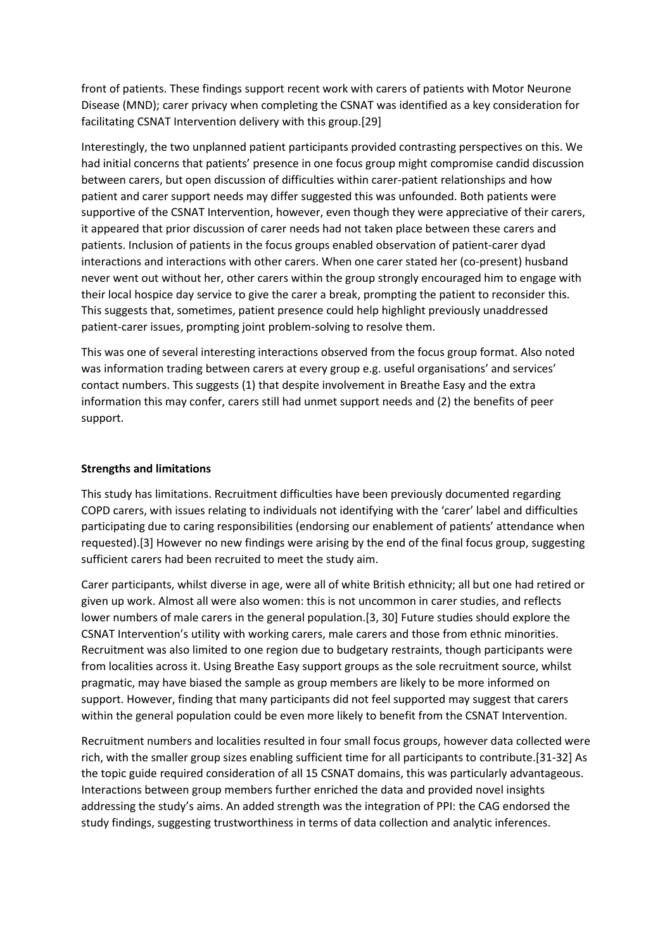front of patients. These findings support recent work with carers of patients with Motor Neurone Disease (MND); carer privacy when completing the CSNAT was identified as a key consideration for facilitating CSNAT Intervention delivery with this group.[29]

Interestingly, the two unplanned patient participants provided contrasting perspectives on this. We had initial concerns that patients' presence in one focus group might compromise candid discussion between carers, but open discussion of difficulties within carer-patient relationships and how patient and carer support needs may differ suggested this was unfounded. Both patients were supportive of the CSNAT Intervention, however, even though they were appreciative of their carers, it appeared that prior discussion of carer needs had not taken place between these carers and patients. Inclusion of patients in the focus groups enabled observation of patient-carer dyad interactions and interactions with other carers. When one carer stated her (co-present) husband never went out without her, other carers within the group strongly encouraged him to engage with their local hospice day service to give the carer a break, prompting the patient to reconsider this. This suggests that, sometimes, patient presence could help highlight previously unaddressed patient-carer issues, prompting joint problem-solving to resolve them.

This was one of several interesting interactions observed from the focus group format. Also noted was information trading between carers at every group e.g. useful organisations' and services' contact numbers. This suggests (1) that despite involvement in Breathe Easy and the extra information this may confer, carers still had unmet support needs and (2) the benefits of peer support.

## **Strengths and limitations**

This study has limitations. Recruitment difficulties have been previously documented regarding COPD carers, with issues relating to individuals not identifying with the 'carer' label and difficulties participating due to caring responsibilities (endorsing our enablement of patients' attendance when requested).[3] However no new findings were arising by the end of the final focus group, suggesting sufficient carers had been recruited to meet the study aim.

Carer participants, whilst diverse in age, were all of white British ethnicity; all but one had retired or given up work. Almost all were also women: this is not uncommon in carer studies, and reflects lower numbers of male carers in the general population.[3, 30] Future studies should explore the CSNAT Intervention's utility with working carers, male carers and those from ethnic minorities. Recruitment was also limited to one region due to budgetary restraints, though participants were from localities across it. Using Breathe Easy support groups as the sole recruitment source, whilst pragmatic, may have biased the sample as group members are likely to be more informed on support. However, finding that many participants did not feel supported may suggest that carers within the general population could be even more likely to benefit from the CSNAT Intervention.

Recruitment numbers and localities resulted in four small focus groups, however data collected were rich, with the smaller group sizes enabling sufficient time for all participants to contribute.[31-32] As the topic guide required consideration of all 15 CSNAT domains, this was particularly advantageous. Interactions between group members further enriched the data and provided novel insights addressing the study's aims. An added strength was the integration of PPI: the CAG endorsed the study findings, suggesting trustworthiness in terms of data collection and analytic inferences.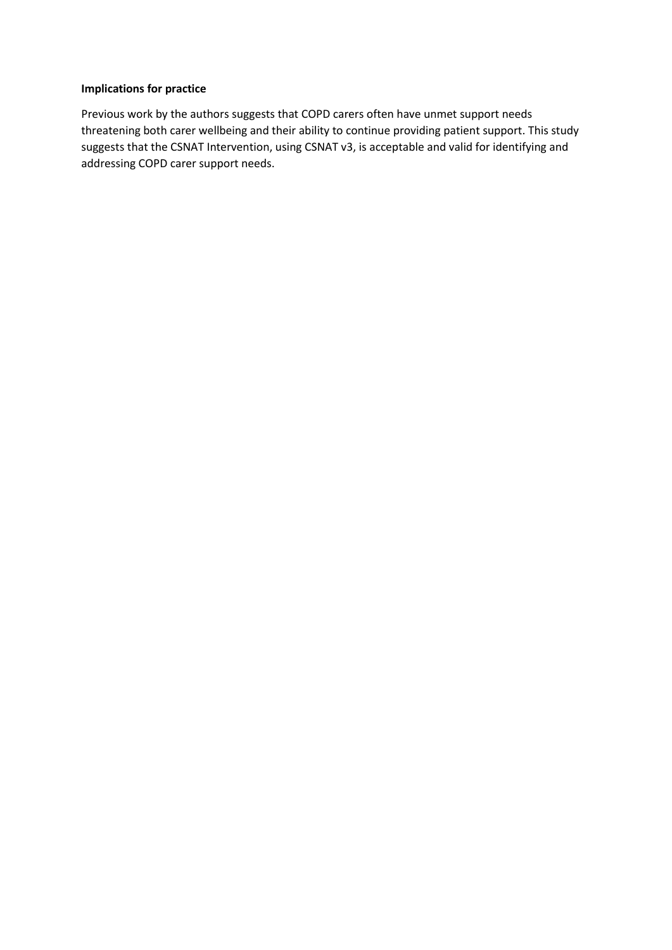# **Implications for practice**

Previous work by the authors suggests that COPD carers often have unmet support needs threatening both carer wellbeing and their ability to continue providing patient support. This study suggests that the CSNAT Intervention, using CSNAT v3, is acceptable and valid for identifying and addressing COPD carer support needs.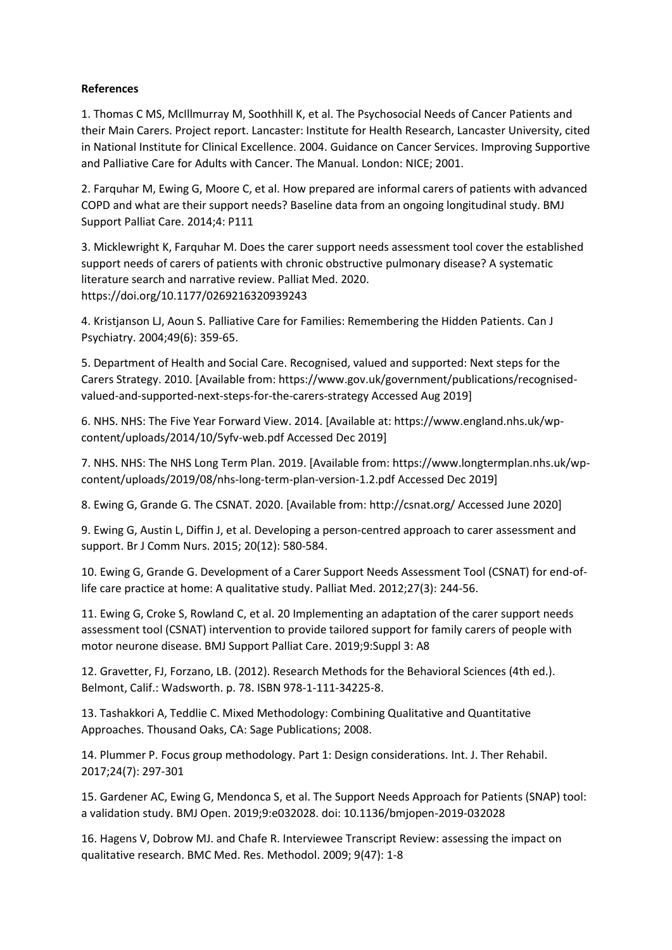# **References**

1. Thomas C MS, McIllmurray M, Soothhill K, et al. The Psychosocial Needs of Cancer Patients and their Main Carers. Project report. Lancaster: Institute for Health Research, Lancaster University, cited in National Institute for Clinical Excellence. 2004. Guidance on Cancer Services. Improving Supportive and Palliative Care for Adults with Cancer. The Manual. London: NICE; 2001.

2. Farquhar M, Ewing G, Moore C, et al. How prepared are informal carers of patients with advanced COPD and what are their support needs? Baseline data from an ongoing longitudinal study. BMJ Support Palliat Care. 2014;4: P111

3. Micklewright K, Farquhar M. Does the carer support needs assessment tool cover the established support needs of carers of patients with chronic obstructive pulmonary disease? A systematic literature search and narrative review. Palliat Med. 2020. https://doi.org/10.1177/0269216320939243

4. Kristjanson LJ, Aoun S. Palliative Care for Families: Remembering the Hidden Patients. Can J Psychiatry. 2004;49(6): 359-65.

5. Department of Health and Social Care. Recognised, valued and supported: Next steps for the Carers Strategy. 2010. [Available from: https://www.gov.uk/government/publications/recognisedvalued-and-supported-next-steps-for-the-carers-strategy Accessed Aug 2019]

6. NHS. NHS: The Five Year Forward View. 2014. [Available at: https://www.england.nhs.uk/wpcontent/uploads/2014/10/5yfv-web.pdf Accessed Dec 2019]

7. NHS. NHS: The NHS Long Term Plan. 2019. [Available from: https://www.longtermplan.nhs.uk/wpcontent/uploads/2019/08/nhs-long-term-plan-version-1.2.pdf Accessed Dec 2019]

8. Ewing G, Grande G. The CSNAT. 2020. [Available from: http://csnat.org/ Accessed June 2020]

9. Ewing G, Austin L, Diffin J, et al. Developing a person-centred approach to carer assessment and support. Br J Comm Nurs. 2015; 20(12): 580-584.

10. Ewing G, Grande G. Development of a Carer Support Needs Assessment Tool (CSNAT) for end-oflife care practice at home: A qualitative study. Palliat Med. 2012;27(3): 244-56.

11. Ewing G, Croke S, Rowland C, et al. 20 Implementing an adaptation of the carer support needs assessment tool (CSNAT) intervention to provide tailored support for family carers of people with motor neurone disease. BMJ Support Palliat Care. 2019;9:Suppl 3: A8

12. Gravetter, FJ, Forzano, LB. (2012). Research Methods for the Behavioral Sciences (4th ed.). Belmont, Calif.: Wadsworth. p. 78. ISBN 978-1-111-34225-8.

13. Tashakkori A, Teddlie C. Mixed Methodology: Combining Qualitative and Quantitative Approaches. Thousand Oaks, CA: Sage Publications; 2008.

14. Plummer P. Focus group methodology. Part 1: Design considerations. Int. J. Ther Rehabil. 2017;24(7): 297-301

15. Gardener AC, Ewing G, Mendonca S, et al. The Support Needs Approach for Patients (SNAP) tool: a validation study. BMJ Open. 2019;9:e032028. doi: 10.1136/bmjopen-2019-032028

16. Hagens V, Dobrow MJ. and Chafe R. Interviewee Transcript Review: assessing the impact on qualitative research. BMC Med. Res. Methodol. 2009; 9(47): 1-8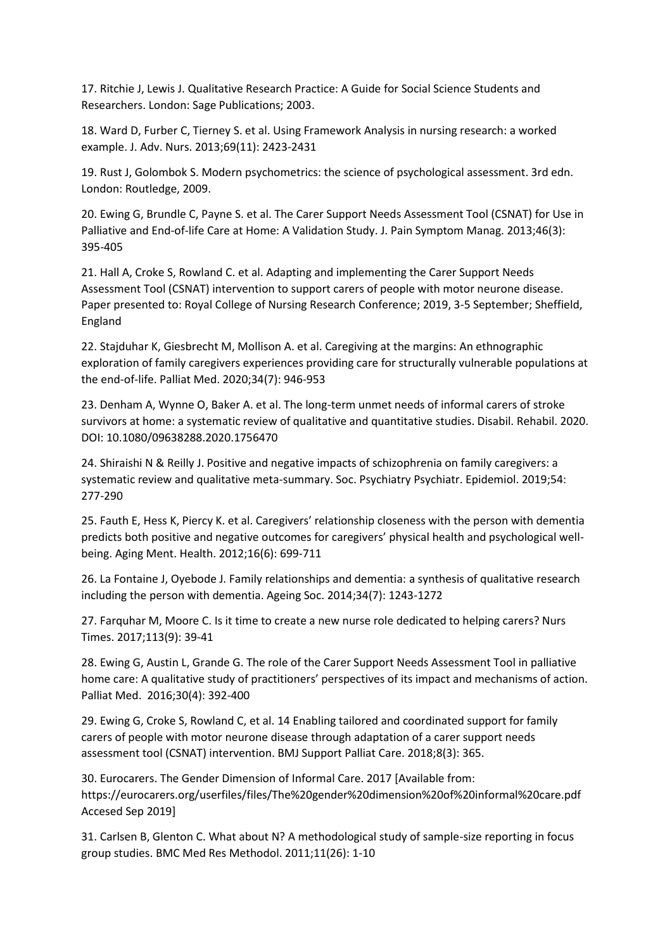17. Ritchie J, Lewis J. Qualitative Research Practice: A Guide for Social Science Students and Researchers. London: Sage Publications; 2003.

18. Ward D, Furber C, Tierney S. et al. Using Framework Analysis in nursing research: a worked example. J. Adv. Nurs. 2013;69(11): 2423-2431

19. Rust J, Golombok S. Modern psychometrics: the science of psychological assessment. 3rd edn. London: Routledge, 2009.

20. Ewing G, Brundle C, Payne S. et al. The Carer Support Needs Assessment Tool (CSNAT) for Use in Palliative and End-of-life Care at Home: A Validation Study. J. Pain Symptom Manag. 2013;46(3): 395-405

21. Hall A, Croke S, Rowland C. et al. Adapting and implementing the Carer Support Needs Assessment Tool (CSNAT) intervention to support carers of people with motor neurone disease. Paper presented to: Royal College of Nursing Research Conference; 2019, 3-5 September; Sheffield, England

22. Stajduhar K, Giesbrecht M, Mollison A. et al. Caregiving at the margins: An ethnographic exploration of family caregivers experiences providing care for structurally vulnerable populations at the end-of-life. Palliat Med. 2020;34(7): 946-953

23. Denham A, Wynne O, Baker A. et al. The long-term unmet needs of informal carers of stroke survivors at home: a systematic review of qualitative and quantitative studies. Disabil. Rehabil. 2020. DOI: 10.1080/09638288.2020.1756470

24. Shiraishi N & Reilly J. Positive and negative impacts of schizophrenia on family caregivers: a systematic review and qualitative meta-summary. Soc. Psychiatry Psychiatr. Epidemiol. 2019;54: 277-290

25. Fauth E, Hess K, Piercy K. et al. Caregivers' relationship closeness with the person with dementia predicts both positive and negative outcomes for caregivers' physical health and psychological wellbeing. Aging Ment. Health. 2012;16(6): 699-711

26. La Fontaine J, Oyebode J. Family relationships and dementia: a synthesis of qualitative research including the person with dementia. Ageing Soc. 2014;34(7): 1243-1272

27. Farquhar M, Moore C. Is it time to create a new nurse role dedicated to helping carers? Nurs Times. 2017;113(9): 39-41

28. Ewing G, Austin L, Grande G. The role of the Carer Support Needs Assessment Tool in palliative home care: A qualitative study of practitioners' perspectives of its impact and mechanisms of action. Palliat Med. 2016;30(4): 392-400

29. Ewing G, Croke S, Rowland C, et al. 14 Enabling tailored and coordinated support for family carers of people with motor neurone disease through adaptation of a carer support needs assessment tool (CSNAT) intervention. BMJ Support Palliat Care. 2018;8(3): 365.

30. Eurocarers. The Gender Dimension of Informal Care. 2017 [Available from: https://eurocarers.org/userfiles/files/The%20gender%20dimension%20of%20informal%20care.pdf Accesed Sep 2019]

31. Carlsen B, Glenton C. What about N? A methodological study of sample-size reporting in focus group studies. BMC Med Res Methodol. 2011;11(26): 1-10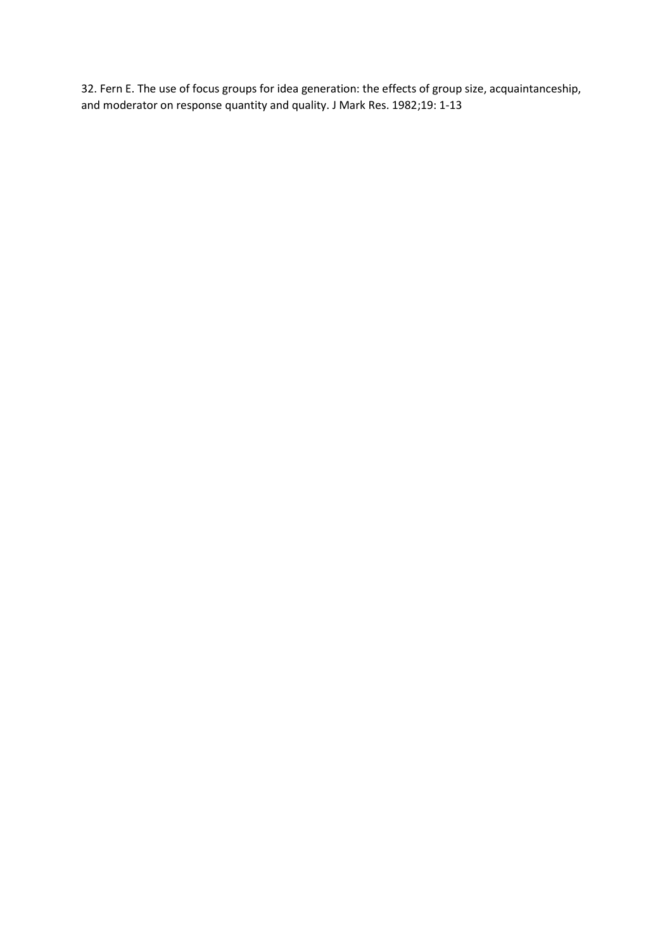32. Fern E. The use of focus groups for idea generation: the effects of group size, acquaintanceship, and moderator on response quantity and quality. J Mark Res. 1982;19: 1-13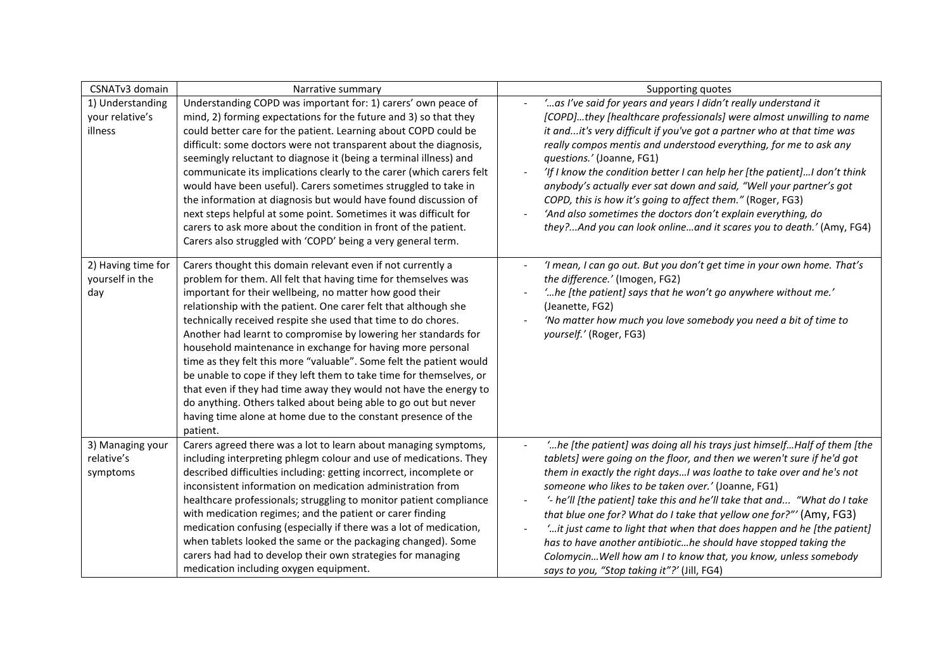| CSNATv3 domain                                 | Narrative summary                                                                                                                                                                                                                                                                                                                                                                                                                                                                                                                                                                                                                                                                                                                                                                                                               | Supporting quotes                                                                                                                                                                                                                                                                                                                                                                                                                                                                                                                                                                                                                                                                                 |
|------------------------------------------------|---------------------------------------------------------------------------------------------------------------------------------------------------------------------------------------------------------------------------------------------------------------------------------------------------------------------------------------------------------------------------------------------------------------------------------------------------------------------------------------------------------------------------------------------------------------------------------------------------------------------------------------------------------------------------------------------------------------------------------------------------------------------------------------------------------------------------------|---------------------------------------------------------------------------------------------------------------------------------------------------------------------------------------------------------------------------------------------------------------------------------------------------------------------------------------------------------------------------------------------------------------------------------------------------------------------------------------------------------------------------------------------------------------------------------------------------------------------------------------------------------------------------------------------------|
| 1) Understanding<br>your relative's<br>illness | Understanding COPD was important for: 1) carers' own peace of<br>mind, 2) forming expectations for the future and 3) so that they<br>could better care for the patient. Learning about COPD could be<br>difficult: some doctors were not transparent about the diagnosis,<br>seemingly reluctant to diagnose it (being a terminal illness) and<br>communicate its implications clearly to the carer (which carers felt<br>would have been useful). Carers sometimes struggled to take in<br>the information at diagnosis but would have found discussion of<br>next steps helpful at some point. Sometimes it was difficult for<br>carers to ask more about the condition in front of the patient.<br>Carers also struggled with 'COPD' being a very general term.                                                              | ' as I've said for years and years I didn't really understand it<br>[COPD]they [healthcare professionals] were almost unwilling to name<br>it andit's very difficult if you've got a partner who at that time was<br>really compos mentis and understood everything, for me to ask any<br>questions.' (Joanne, FG1)<br>'If I know the condition better I can help her [the patient]I don't think<br>anybody's actually ever sat down and said, "Well your partner's got<br>COPD, this is how it's going to affect them." (Roger, FG3)<br>'And also sometimes the doctors don't explain everything, do<br>they?And you can look onlineand it scares you to death.' (Amy, FG4)                      |
| 2) Having time for<br>yourself in the<br>day   | Carers thought this domain relevant even if not currently a<br>problem for them. All felt that having time for themselves was<br>important for their wellbeing, no matter how good their<br>relationship with the patient. One carer felt that although she<br>technically received respite she used that time to do chores.<br>Another had learnt to compromise by lowering her standards for<br>household maintenance in exchange for having more personal<br>time as they felt this more "valuable". Some felt the patient would<br>be unable to cope if they left them to take time for themselves, or<br>that even if they had time away they would not have the energy to<br>do anything. Others talked about being able to go out but never<br>having time alone at home due to the constant presence of the<br>patient. | 'I mean, I can go out. But you don't get time in your own home. That's<br>the difference.' (Imogen, FG2)<br>'he [the patient] says that he won't go anywhere without me.'<br>(Jeanette, FG2)<br>'No matter how much you love somebody you need a bit of time to<br>yourself.' (Roger, FG3)                                                                                                                                                                                                                                                                                                                                                                                                        |
| 3) Managing your<br>relative's<br>symptoms     | Carers agreed there was a lot to learn about managing symptoms,<br>including interpreting phlegm colour and use of medications. They<br>described difficulties including: getting incorrect, incomplete or<br>inconsistent information on medication administration from<br>healthcare professionals; struggling to monitor patient compliance<br>with medication regimes; and the patient or carer finding<br>medication confusing (especially if there was a lot of medication,<br>when tablets looked the same or the packaging changed). Some<br>carers had had to develop their own strategies for managing<br>medication including oxygen equipment.                                                                                                                                                                      | "he [the patient] was doing all his trays just himselfHalf of them [the<br>tablets] were going on the floor, and then we weren't sure if he'd got<br>them in exactly the right daysI was loathe to take over and he's not<br>someone who likes to be taken over.' (Joanne, FG1)<br>'- he'll [the patient] take this and he'll take that and "What do I take<br>that blue one for? What do I take that yellow one for?"' (Amy, FG3)<br>'it just came to light that when that does happen and he [the patient]<br>has to have another antibiotiche should have stopped taking the<br>Colomycin Well how am I to know that, you know, unless somebody<br>says to you, "Stop taking it"?' (Jill, FG4) |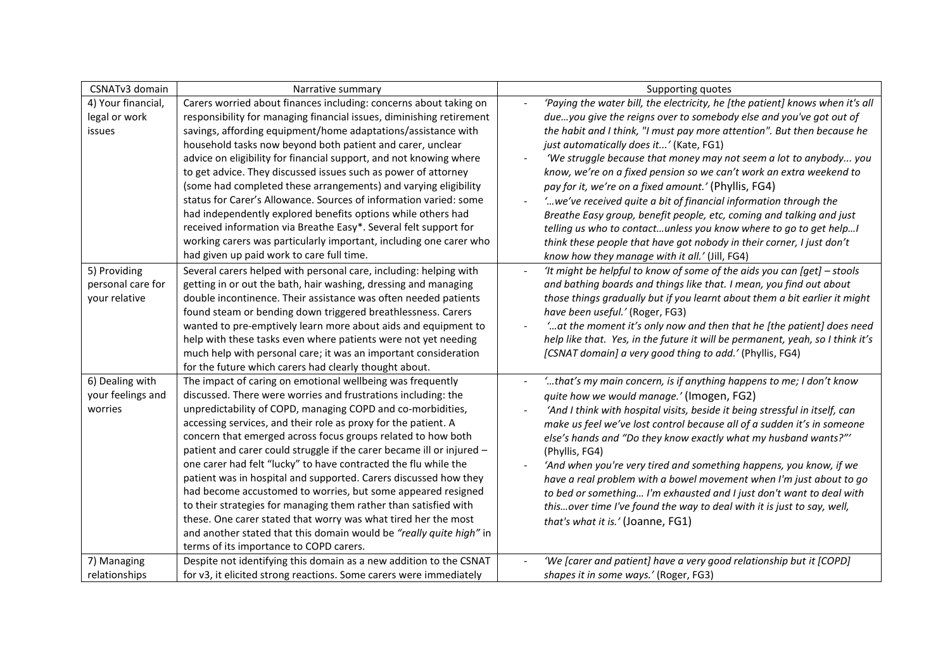| CSNATv3 domain     | Narrative summary                                                     | Supporting quotes                                                              |
|--------------------|-----------------------------------------------------------------------|--------------------------------------------------------------------------------|
| 4) Your financial, | Carers worried about finances including: concerns about taking on     | 'Paying the water bill, the electricity, he [the patient] knows when it's all  |
| legal or work      | responsibility for managing financial issues, diminishing retirement  | dueyou give the reigns over to somebody else and you've got out of             |
| issues             | savings, affording equipment/home adaptations/assistance with         | the habit and I think, "I must pay more attention". But then because he        |
|                    | household tasks now beyond both patient and carer, unclear            | just automatically does it' (Kate, FG1)                                        |
|                    | advice on eligibility for financial support, and not knowing where    | 'We struggle because that money may not seem a lot to anybody you              |
|                    | to get advice. They discussed issues such as power of attorney        | know, we're on a fixed pension so we can't work an extra weekend to            |
|                    | (some had completed these arrangements) and varying eligibility       | pay for it, we're on a fixed amount.' (Phyllis, FG4)                           |
|                    | status for Carer's Allowance. Sources of information varied: some     | ' we've received quite a bit of financial information through the              |
|                    | had independently explored benefits options while others had          | Breathe Easy group, benefit people, etc, coming and talking and just           |
|                    | received information via Breathe Easy*. Several felt support for      | telling us who to contactunless you know where to go to get help!              |
|                    | working carers was particularly important, including one carer who    | think these people that have got nobody in their corner, I just don't          |
|                    | had given up paid work to care full time.                             | know how they manage with it all.' (Jill, FG4)                                 |
| 5) Providing       | Several carers helped with personal care, including: helping with     | 'It might be helpful to know of some of the aids you can $[get]$ - stools      |
| personal care for  | getting in or out the bath, hair washing, dressing and managing       | and bathing boards and things like that. I mean, you find out about            |
| your relative      | double incontinence. Their assistance was often needed patients       | those things gradually but if you learnt about them a bit earlier it might     |
|                    | found steam or bending down triggered breathlessness. Carers          | have been useful.' (Roger, FG3)                                                |
|                    | wanted to pre-emptively learn more about aids and equipment to        | ' at the moment it's only now and then that he [the patient] does need         |
|                    | help with these tasks even where patients were not yet needing        | help like that. Yes, in the future it will be permanent, yeah, so I think it's |
|                    | much help with personal care; it was an important consideration       | [CSNAT domain] a very good thing to add.' (Phyllis, FG4)                       |
|                    | for the future which carers had clearly thought about.                |                                                                                |
| 6) Dealing with    | The impact of caring on emotional wellbeing was frequently            | 'that's my main concern, is if anything happens to me; I don't know            |
| your feelings and  | discussed. There were worries and frustrations including: the         | quite how we would manage.' (Imogen, FG2)                                      |
| worries            | unpredictability of COPD, managing COPD and co-morbidities,           | 'And I think with hospital visits, beside it being stressful in itself, can    |
|                    | accessing services, and their role as proxy for the patient. A        | make us feel we've lost control because all of a sudden it's in someone        |
|                    | concern that emerged across focus groups related to how both          | else's hands and "Do they know exactly what my husband wants?"'                |
|                    | patient and carer could struggle if the carer became ill or injured - | (Phyllis, FG4)                                                                 |
|                    | one carer had felt "lucky" to have contracted the flu while the       | 'And when you're very tired and something happens, you know, if we             |
|                    | patient was in hospital and supported. Carers discussed how they      | have a real problem with a bowel movement when I'm just about to go            |
|                    | had become accustomed to worries, but some appeared resigned          | to bed or something I'm exhausted and I just don't want to deal with           |
|                    | to their strategies for managing them rather than satisfied with      | thisover time I've found the way to deal with it is just to say, well,         |
|                    | these. One carer stated that worry was what tired her the most        | that's what it is.' (Joanne, FG1)                                              |
|                    | and another stated that this domain would be "really quite high" in   |                                                                                |
|                    | terms of its importance to COPD carers.                               |                                                                                |
| 7) Managing        | Despite not identifying this domain as a new addition to the CSNAT    | 'We [carer and patient] have a very good relationship but it [COPD]            |
| relationships      | for v3, it elicited strong reactions. Some carers were immediately    | shapes it in some ways.' (Roger, FG3)                                          |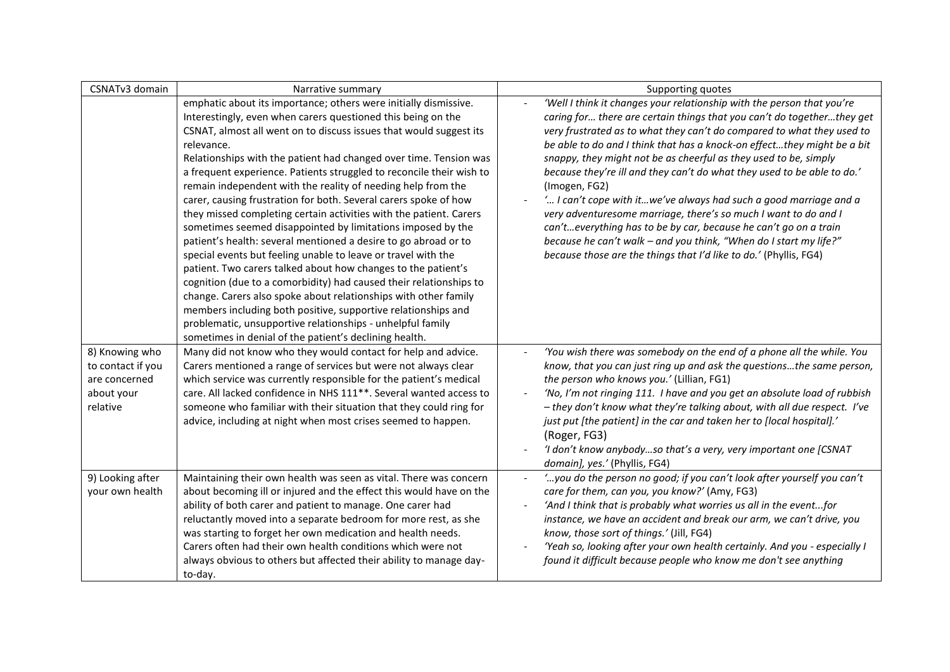| CSNATv3 domain                                                                 | Narrative summary                                                                                                                                                                                                                                                                                                                                                                                                                                                                                                                                                                                                                                                                                                                                                                                                                                                                                                                                                                                                                                                                                                                                                                 | Supporting quotes                                                                                                                                                                                                                                                                                                                                                                                                                                                                                                                                                                                                                                                                                                                                                                                                           |
|--------------------------------------------------------------------------------|-----------------------------------------------------------------------------------------------------------------------------------------------------------------------------------------------------------------------------------------------------------------------------------------------------------------------------------------------------------------------------------------------------------------------------------------------------------------------------------------------------------------------------------------------------------------------------------------------------------------------------------------------------------------------------------------------------------------------------------------------------------------------------------------------------------------------------------------------------------------------------------------------------------------------------------------------------------------------------------------------------------------------------------------------------------------------------------------------------------------------------------------------------------------------------------|-----------------------------------------------------------------------------------------------------------------------------------------------------------------------------------------------------------------------------------------------------------------------------------------------------------------------------------------------------------------------------------------------------------------------------------------------------------------------------------------------------------------------------------------------------------------------------------------------------------------------------------------------------------------------------------------------------------------------------------------------------------------------------------------------------------------------------|
|                                                                                | emphatic about its importance; others were initially dismissive.<br>Interestingly, even when carers questioned this being on the<br>CSNAT, almost all went on to discuss issues that would suggest its<br>relevance.<br>Relationships with the patient had changed over time. Tension was<br>a frequent experience. Patients struggled to reconcile their wish to<br>remain independent with the reality of needing help from the<br>carer, causing frustration for both. Several carers spoke of how<br>they missed completing certain activities with the patient. Carers<br>sometimes seemed disappointed by limitations imposed by the<br>patient's health: several mentioned a desire to go abroad or to<br>special events but feeling unable to leave or travel with the<br>patient. Two carers talked about how changes to the patient's<br>cognition (due to a comorbidity) had caused their relationships to<br>change. Carers also spoke about relationships with other family<br>members including both positive, supportive relationships and<br>problematic, unsupportive relationships - unhelpful family<br>sometimes in denial of the patient's declining health. | 'Well I think it changes your relationship with the person that you're<br>caring for there are certain things that you can't do togetherthey get<br>very frustrated as to what they can't do compared to what they used to<br>be able to do and I think that has a knock-on effectthey might be a bit<br>snappy, they might not be as cheerful as they used to be, simply<br>because they're ill and they can't do what they used to be able to do.'<br>(Imogen, FG2)<br>' I can't cope with itwe've always had such a good marriage and a<br>very adventuresome marriage, there's so much I want to do and I<br>can'teverything has to be by car, because he can't go on a train<br>because he can't walk - and you think, "When do I start my life?"<br>because those are the things that I'd like to do.' (Phyllis, FG4) |
| 8) Knowing who<br>to contact if you<br>are concerned<br>about your<br>relative | Many did not know who they would contact for help and advice.<br>Carers mentioned a range of services but were not always clear<br>which service was currently responsible for the patient's medical<br>care. All lacked confidence in NHS 111**. Several wanted access to<br>someone who familiar with their situation that they could ring for<br>advice, including at night when most crises seemed to happen.                                                                                                                                                                                                                                                                                                                                                                                                                                                                                                                                                                                                                                                                                                                                                                 | 'You wish there was somebody on the end of a phone all the while. You<br>know, that you can just ring up and ask the questionsthe same person,<br>the person who knows you.' (Lillian, FG1)<br>'No, I'm not ringing 111. I have and you get an absolute load of rubbish<br>- they don't know what they're talking about, with all due respect. I've<br>just put [the patient] in the car and taken her to [local hospital].'<br>(Roger, FG3)<br>'I don't know anybodyso that's a very, very important one [CSNAT<br>domain], yes.' (Phyllis, FG4)                                                                                                                                                                                                                                                                           |
| 9) Looking after<br>your own health                                            | Maintaining their own health was seen as vital. There was concern<br>about becoming ill or injured and the effect this would have on the<br>ability of both carer and patient to manage. One carer had<br>reluctantly moved into a separate bedroom for more rest, as she<br>was starting to forget her own medication and health needs.<br>Carers often had their own health conditions which were not<br>always obvious to others but affected their ability to manage day-<br>to-day.                                                                                                                                                                                                                                                                                                                                                                                                                                                                                                                                                                                                                                                                                          | ' you do the person no good; if you can't look after yourself you can't<br>$\blacksquare$<br>care for them, can you, you know?' (Amy, FG3)<br>'And I think that is probably what worries us all in the eventfor<br>instance, we have an accident and break our arm, we can't drive, you<br>know, those sort of things.' (Jill, FG4)<br>'Yeah so, looking after your own health certainly. And you - especially I<br>found it difficult because people who know me don't see anything                                                                                                                                                                                                                                                                                                                                        |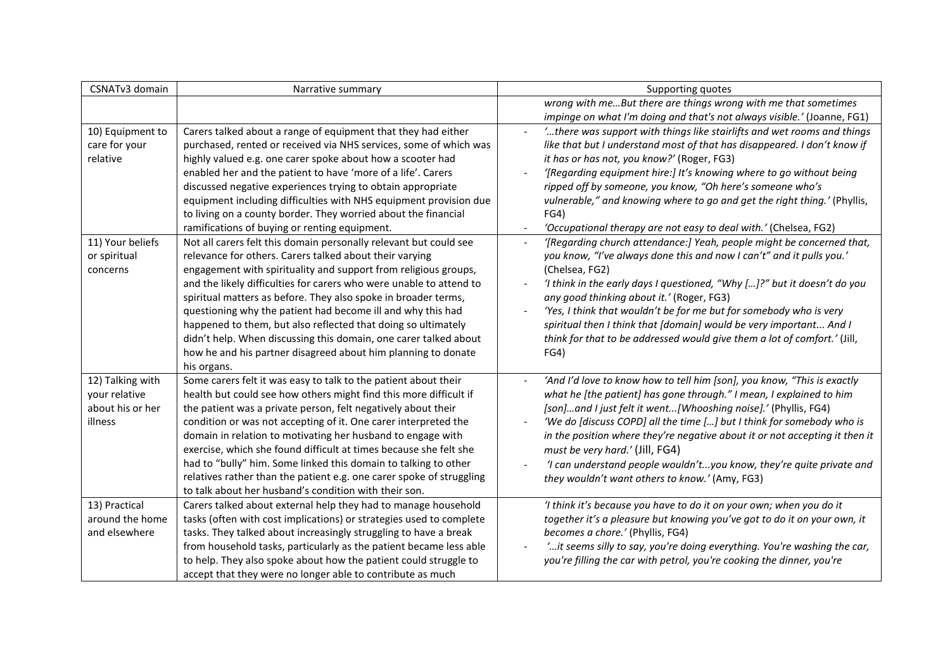| CSNATv3 domain   | Narrative summary                                                    | Supporting quotes                                                           |
|------------------|----------------------------------------------------------------------|-----------------------------------------------------------------------------|
|                  |                                                                      | wrong with meBut there are things wrong with me that sometimes              |
|                  |                                                                      | impinge on what I'm doing and that's not always visible.' (Joanne, FG1)     |
| 10) Equipment to | Carers talked about a range of equipment that they had either        | "there was support with things like stairlifts and wet rooms and things     |
| care for your    | purchased, rented or received via NHS services, some of which was    | like that but I understand most of that has disappeared. I don't know if    |
| relative         | highly valued e.g. one carer spoke about how a scooter had           | it has or has not, you know?' (Roger, FG3)                                  |
|                  | enabled her and the patient to have 'more of a life'. Carers         | '[Regarding equipment hire:] It's knowing where to go without being         |
|                  | discussed negative experiences trying to obtain appropriate          | ripped off by someone, you know, "Oh here's someone who's                   |
|                  | equipment including difficulties with NHS equipment provision due    | vulnerable," and knowing where to go and get the right thing.' (Phyllis,    |
|                  | to living on a county border. They worried about the financial       | FG4)                                                                        |
|                  | ramifications of buying or renting equipment.                        | 'Occupational therapy are not easy to deal with.' (Chelsea, FG2)            |
| 11) Your beliefs | Not all carers felt this domain personally relevant but could see    | '[Regarding church attendance:] Yeah, people might be concerned that,       |
| or spiritual     | relevance for others. Carers talked about their varying              | you know, "I've always done this and now I can't" and it pulls you.'        |
| concerns         | engagement with spirituality and support from religious groups,      | (Chelsea, FG2)                                                              |
|                  | and the likely difficulties for carers who were unable to attend to  | 'I think in the early days I questioned, "Why []?" but it doesn't do you    |
|                  | spiritual matters as before. They also spoke in broader terms,       | any good thinking about it.' (Roger, FG3)                                   |
|                  | questioning why the patient had become ill and why this had          | 'Yes, I think that wouldn't be for me but for somebody who is very          |
|                  | happened to them, but also reflected that doing so ultimately        | spiritual then I think that [domain] would be very important And I          |
|                  | didn't help. When discussing this domain, one carer talked about     | think for that to be addressed would give them a lot of comfort.' (Jill,    |
|                  | how he and his partner disagreed about him planning to donate        | FG4)                                                                        |
|                  | his organs.                                                          |                                                                             |
| 12) Talking with | Some carers felt it was easy to talk to the patient about their      | 'And I'd love to know how to tell him [son], you know, "This is exactly     |
| your relative    | health but could see how others might find this more difficult if    | what he [the patient] has gone through." I mean, I explained to him         |
| about his or her | the patient was a private person, felt negatively about their        | [son]and I just felt it went[Whooshing noise].' (Phyllis, FG4)              |
| illness          | condition or was not accepting of it. One carer interpreted the      | 'We do [discuss COPD] all the time [] but I think for somebody who is       |
|                  | domain in relation to motivating her husband to engage with          | in the position where they're negative about it or not accepting it then it |
|                  | exercise, which she found difficult at times because she felt she    | must be very hard.' (Jill, FG4)                                             |
|                  | had to "bully" him. Some linked this domain to talking to other      | 'I can understand people wouldn'tyou know, they're quite private and        |
|                  | relatives rather than the patient e.g. one carer spoke of struggling | they wouldn't want others to know.' (Amy, FG3)                              |
|                  | to talk about her husband's condition with their son.                |                                                                             |
| 13) Practical    | Carers talked about external help they had to manage household       | 'I think it's because you have to do it on your own; when you do it         |
| around the home  | tasks (often with cost implications) or strategies used to complete  | together it's a pleasure but knowing you've got to do it on your own, it    |
| and elsewhere    | tasks. They talked about increasingly struggling to have a break     | becomes a chore.' (Phyllis, FG4)                                            |
|                  | from household tasks, particularly as the patient became less able   | " it seems silly to say, you're doing everything. You're washing the car,   |
|                  | to help. They also spoke about how the patient could struggle to     | you're filling the car with petrol, you're cooking the dinner, you're       |
|                  | accept that they were no longer able to contribute as much           |                                                                             |